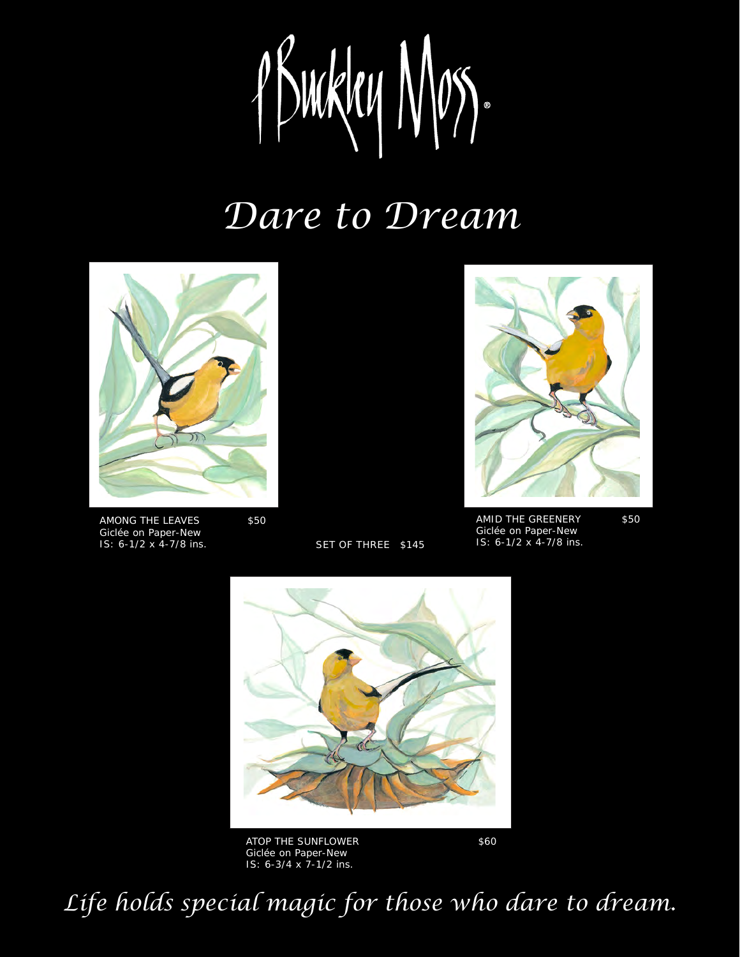1 Buckey Nos.

## *Dare to Dream*



AMONG THE LEAVES \$50 Giclée on Paper-New IS: 6-1/2 x 4-7/8 ins.

SET OF THREE \$145



AMID THE GREENERY \$50 Giclée on Paper-New<br>IS: 6-1/2 x 4-7/8 ins.



ATOP THE SUNFLOWER \$60 Giclée on Paper-New IS: 6-3/4 x 7-1/2 ins.

*Life holds special magic for those who dare to dream.*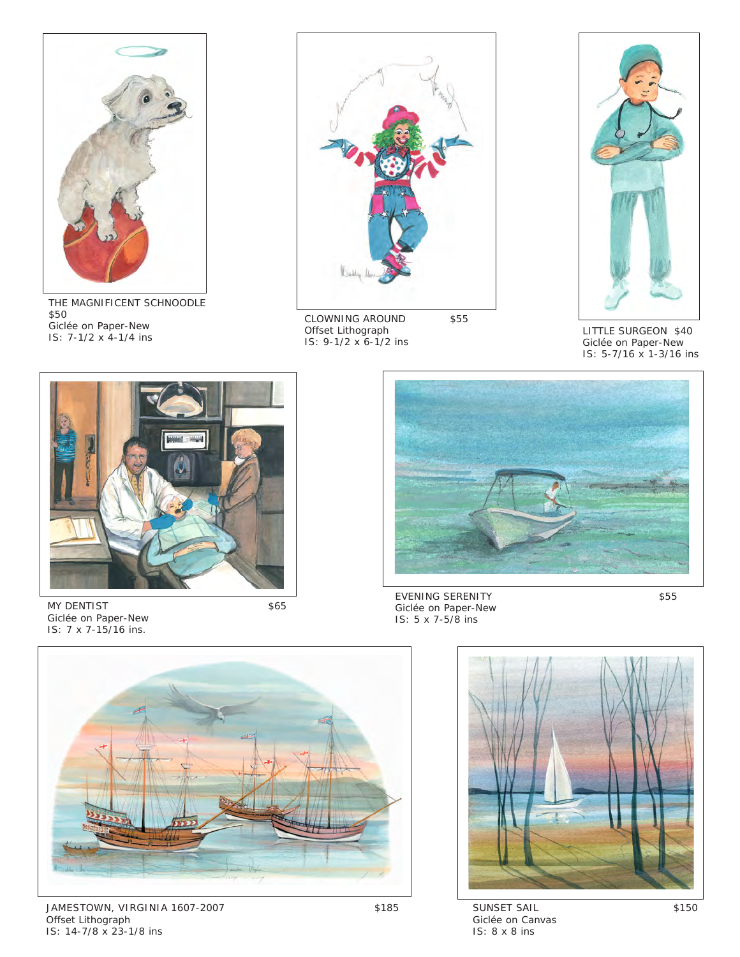

THE MAGNIFICENT SCHNOODLE \$50 Giclée on Paper-New IS: 7-1/2 x 4-1/4 ins



CLOWNING AROUND \$55 Offset Lithograph IS: 9-1/2 x 6-1/2 ins



LITTLE SURGEON \$40 Giclée on Paper-New IS: 5-7/16 x 1-3/16 ins



MY DENTIST \$65 Giclée on Paper-New IS: 7 x 7-15/16 ins.



EVENING SERENITY \$55 Giclée on Paper-New IS: 5 x 7-5/8 ins



JAMESTOWN, VIRGINIA 1607-2007 \$185 Offset Lithograph IS: 14-7/8 x 23-1/8 ins

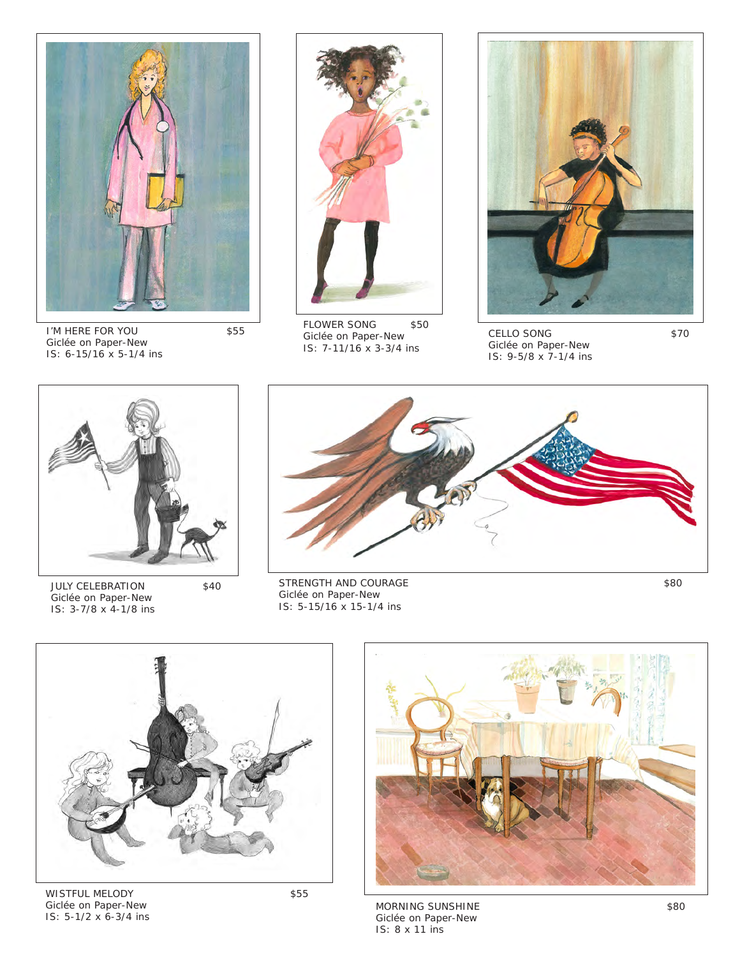

I'M HERE FOR YOU \$55 Giclée on Paper-New IS: 6-15/16 x 5-1/4 ins



FLOWER SONG \$50 Giclée on Paper-New IS: 7-11/16 x 3-3/4 ins



CELLO SONG \$70 Giclée on Paper-New IS: 9-5/8 x 7-1/4 ins



JULY CELEBRATION \$40 Giclée on Paper-New IS: 3-7/8 x 4-1/8 ins



STRENGTH AND COURAGE \$80 Giclée on Paper-New IS: 5-15/16 x 15-1/4 ins



WISTFUL MELODY \$55 Giclée on Paper-New IS: 5-1/2 x 6-3/4 ins



MORNING SUNSHINE \$80 Giclée on Paper-New IS: 8 x 11 ins